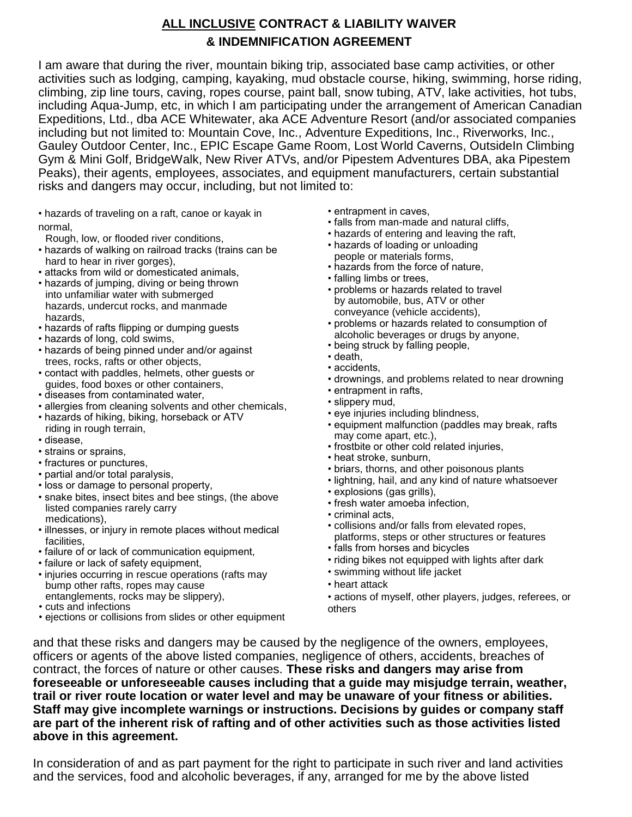# **ALL INCLUSIVE CONTRACT & LIABILITY WAIVER & INDEMNIFICATION AGREEMENT**

I am aware that during the river, mountain biking trip, associated base camp activities, or other activities such as lodging, camping, kayaking, mud obstacle course, hiking, swimming, horse riding, climbing, zip line tours, caving, ropes course, paint ball, snow tubing, ATV, lake activities, hot tubs, including Aqua-Jump, etc, in which I am participating under the arrangement of American Canadian Expeditions, Ltd., dba ACE Whitewater, aka ACE Adventure Resort (and/or associated companies including but not limited to: Mountain Cove, Inc., Adventure Expeditions, Inc., Riverworks, Inc., Gauley Outdoor Center, Inc., EPIC Escape Game Room, Lost World Caverns, OutsideIn Climbing Gym & Mini Golf, BridgeWalk, New River ATVs, and/or Pipestem Adventures DBA, aka Pipestem Peaks), their agents, employees, associates, and equipment manufacturers, certain substantial risks and dangers may occur, including, but not limited to:

- hazards of traveling on a raft, canoe or kayak in normal,
- Rough, low, or flooded river conditions,
- hazards of walking on railroad tracks (trains can be hard to hear in river gorges),
- attacks from wild or domesticated animals,
- hazards of jumping, diving or being thrown into unfamiliar water with submerged hazards, undercut rocks, and manmade hazards,
- hazards of rafts flipping or dumping guests
- hazards of long, cold swims,
- hazards of being pinned under and/or against trees, rocks, rafts or other objects,
- contact with paddles, helmets, other guests or guides, food boxes or other containers,
- diseases from contaminated water,
- allergies from cleaning solvents and other chemicals,
- hazards of hiking, biking, horseback or ATV riding in rough terrain,
- disease,
- strains or sprains,
- fractures or punctures,
- partial and/or total paralysis,
- loss or damage to personal property,
- snake bites, insect bites and bee stings, (the above listed companies rarely carry medications),
- illnesses, or injury in remote places without medical facilities,
- failure of or lack of communication equipment,
- failure or lack of safety equipment,
- injuries occurring in rescue operations (rafts may bump other rafts, ropes may cause entanglements, rocks may be slippery),
- cuts and infections
- ejections or collisions from slides or other equipment
- entrapment in caves,
- falls from man-made and natural cliffs,
- hazards of entering and leaving the raft,
- hazards of loading or unloading people or materials forms,
- hazards from the force of nature,
- falling limbs or trees,
- problems or hazards related to travel by automobile, bus, ATV or other conveyance (vehicle accidents),
- problems or hazards related to consumption of alcoholic beverages or drugs by anyone,
- being struck by falling people,
- death,
- accidents,
- drownings, and problems related to near drowning
- entrapment in rafts,
- slippery mud,
- eye injuries including blindness,
- equipment malfunction (paddles may break, rafts may come apart, etc.),
- frostbite or other cold related injuries,
- heat stroke, sunburn,
- briars, thorns, and other poisonous plants
- lightning, hail, and any kind of nature whatsoever
- explosions (gas grills),
- fresh water amoeba infection,
- criminal acts,
- collisions and/or falls from elevated ropes, platforms, steps or other structures or features
- falls from horses and bicycles
- riding bikes not equipped with lights after dark
- swimming without life jacket
- heart attack

• actions of myself, other players, judges, referees, or others

and that these risks and dangers may be caused by the negligence of the owners, employees, officers or agents of the above listed companies, negligence of others, accidents, breaches of contract, the forces of nature or other causes. **These risks and dangers may arise from foreseeable or unforeseeable causes including that a guide may misjudge terrain, weather, trail or river route location or water level and may be unaware of your fitness or abilities. Staff may give incomplete warnings or instructions. Decisions by guides or company staff are part of the inherent risk of rafting and of other activities such as those activities listed above in this agreement.** 

In consideration of and as part payment for the right to participate in such river and land activities and the services, food and alcoholic beverages, if any, arranged for me by the above listed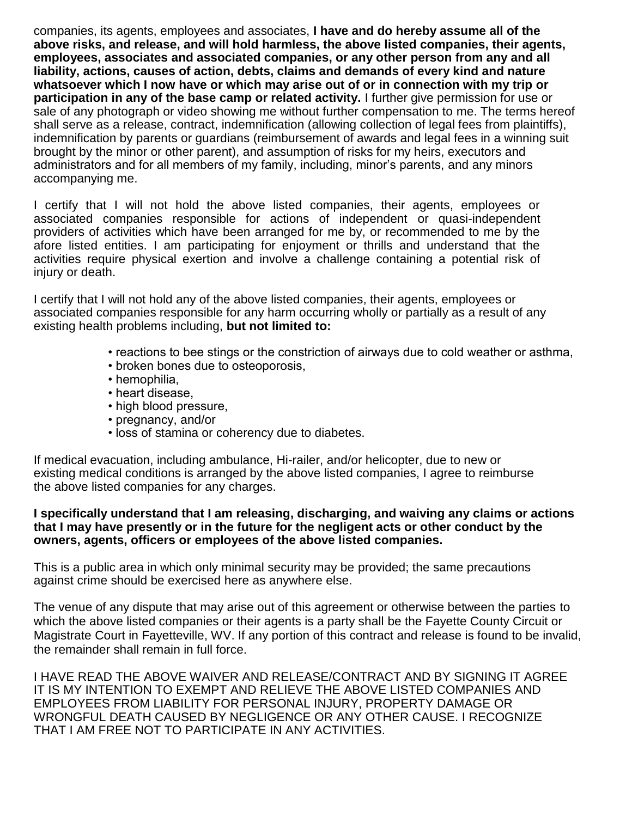companies, its agents, employees and associates, **I have and do hereby assume all of the above risks, and release, and will hold harmless, the above listed companies, their agents, employees, associates and associated companies, or any other person from any and all liability, actions, causes of action, debts, claims and demands of every kind and nature whatsoever which I now have or which may arise out of or in connection with my trip or participation in any of the base camp or related activity.** I further give permission for use or sale of any photograph or video showing me without further compensation to me. The terms hereof shall serve as a release, contract, indemnification (allowing collection of legal fees from plaintiffs), indemnification by parents or guardians (reimbursement of awards and legal fees in a winning suit brought by the minor or other parent), and assumption of risks for my heirs, executors and administrators and for all members of my family, including, minor's parents, and any minors accompanying me.

I certify that I will not hold the above listed companies, their agents, employees or associated companies responsible for actions of independent or quasi-independent providers of activities which have been arranged for me by, or recommended to me by the afore listed entities. I am participating for enjoyment or thrills and understand that the activities require physical exertion and involve a challenge containing a potential risk of injury or death.

I certify that I will not hold any of the above listed companies, their agents, employees or associated companies responsible for any harm occurring wholly or partially as a result of any existing health problems including, **but not limited to:**

- reactions to bee stings or the constriction of airways due to cold weather or asthma,
- broken bones due to osteoporosis,
- hemophilia,
- heart disease,
- high blood pressure,
- pregnancy, and/or
- loss of stamina or coherency due to diabetes.

If medical evacuation, including ambulance, Hi-railer, and/or helicopter, due to new or existing medical conditions is arranged by the above listed companies, I agree to reimburse the above listed companies for any charges.

#### **I specifically understand that I am releasing, discharging, and waiving any claims or actions that I may have presently or in the future for the negligent acts or other conduct by the owners, agents, officers or employees of the above listed companies.**

This is a public area in which only minimal security may be provided; the same precautions against crime should be exercised here as anywhere else.

The venue of any dispute that may arise out of this agreement or otherwise between the parties to which the above listed companies or their agents is a party shall be the Fayette County Circuit or Magistrate Court in Fayetteville, WV. If any portion of this contract and release is found to be invalid, the remainder shall remain in full force.

I HAVE READ THE ABOVE WAIVER AND RELEASE/CONTRACT AND BY SIGNING IT AGREE IT IS MY INTENTION TO EXEMPT AND RELIEVE THE ABOVE LISTED COMPANIES AND EMPLOYEES FROM LIABILITY FOR PERSONAL INJURY, PROPERTY DAMAGE OR WRONGFUL DEATH CAUSED BY NEGLIGENCE OR ANY OTHER CAUSE. I RECOGNIZE THAT I AM FREE NOT TO PARTICIPATE IN ANY ACTIVITIES.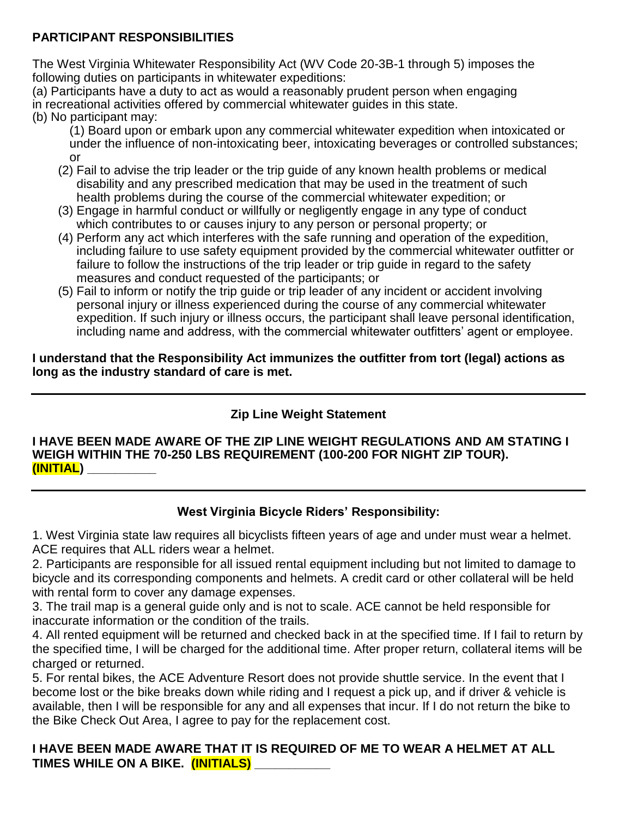### **PARTICIPANT RESPONSIBILITIES**

The West Virginia Whitewater Responsibility Act (WV Code 20-3B-1 through 5) imposes the following duties on participants in whitewater expeditions:

(a) Participants have a duty to act as would a reasonably prudent person when engaging in recreational activities offered by commercial whitewater guides in this state. (b) No participant may:

- (1) Board upon or embark upon any commercial whitewater expedition when intoxicated or under the influence of non-intoxicating beer, intoxicating beverages or controlled substances; or
- (2) Fail to advise the trip leader or the trip guide of any known health problems or medical disability and any prescribed medication that may be used in the treatment of such health problems during the course of the commercial whitewater expedition; or
- (3) Engage in harmful conduct or willfully or negligently engage in any type of conduct which contributes to or causes injury to any person or personal property; or
- (4) Perform any act which interferes with the safe running and operation of the expedition, including failure to use safety equipment provided by the commercial whitewater outfitter or failure to follow the instructions of the trip leader or trip guide in regard to the safety measures and conduct requested of the participants; or
- (5) Fail to inform or notify the trip guide or trip leader of any incident or accident involving personal injury or illness experienced during the course of any commercial whitewater expedition. If such injury or illness occurs, the participant shall leave personal identification, including name and address, with the commercial whitewater outfitters' agent or employee.

#### **I understand that the Responsibility Act immunizes the outfitter from tort (legal) actions as long as the industry standard of care is met.**

# **Zip Line Weight Statement**

#### **I HAVE BEEN MADE AWARE OF THE ZIP LINE WEIGHT REGULATIONS AND AM STATING I WEIGH WITHIN THE 70-250 LBS REQUIREMENT (100-200 FOR NIGHT ZIP TOUR). (INITIAL) \_\_\_\_\_\_\_\_\_\_**

## **West Virginia Bicycle Riders' Responsibility:**

1. West Virginia state law requires all bicyclists fifteen years of age and under must wear a helmet. ACE requires that ALL riders wear a helmet.

2. Participants are responsible for all issued rental equipment including but not limited to damage to bicycle and its corresponding components and helmets. A credit card or other collateral will be held with rental form to cover any damage expenses.

3. The trail map is a general guide only and is not to scale. ACE cannot be held responsible for inaccurate information or the condition of the trails.

4. All rented equipment will be returned and checked back in at the specified time. If I fail to return by the specified time, I will be charged for the additional time. After proper return, collateral items will be charged or returned.

5. For rental bikes, the ACE Adventure Resort does not provide shuttle service. In the event that I become lost or the bike breaks down while riding and I request a pick up, and if driver & vehicle is available, then I will be responsible for any and all expenses that incur. If I do not return the bike to the Bike Check Out Area, I agree to pay for the replacement cost.

### **I HAVE BEEN MADE AWARE THAT IT IS REQUIRED OF ME TO WEAR A HELMET AT ALL TIMES WHILE ON A BIKE. (INITIALS) \_\_\_\_\_\_\_\_\_\_\_**